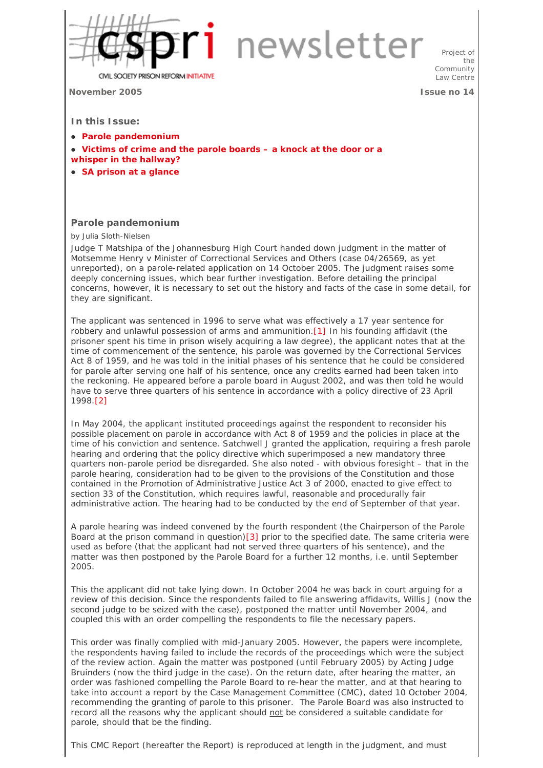

## 1 newsletter

**CIVIL SOCIETY PRISON REFORM INITIATIVE** 

**November 2005 Issue no 14**

Project of the Community Law Centre

**In this Issue:** 

- **Parole pandemonium**
- Victims of crime and the parole boards a knock at the door or a **whisper in the hallway?**
- $\bullet$  SA prison at a glance

## **Parole pandemonium**

by Julia Sloth-Nielsen

Judge T Matshipa of the Johannesburg High Court handed down judgment in the matter of *Motsemme Henry v Minister of Correctional Services and Others* (case 04/26569, as yet unreported), on a parole-related application on 14 October 2005. The judgment raises some deeply concerning issues, which bear further investigation. Before detailing the principal concerns, however, it is necessary to set out the history and facts of the case in some detail, for they are significant.

The applicant was sentenced in 1996 to serve what was effectively a 17 year sentence for robbery and unlawful possession of arms and ammunition.[1] In his founding affidavit (the prisoner spent his time in prison wisely acquiring a law degree), the applicant notes that at the time of commencement of the sentence, his parole was governed by the Correctional Services Act 8 of 1959, and he was told in the initial phases of his sentence that he could be considered for parole after serving one half of his sentence, once any credits earned had been taken into the reckoning. He appeared before a parole board in August 2002, and was then told he would have to serve three quarters of his sentence in accordance with a policy directive of 23 April 1998.[2]

In May 2004, the applicant instituted proceedings against the respondent to reconsider his possible placement on parole in accordance with Act 8 of 1959 and the policies in place at the time of his conviction and sentence. Satchwell J granted the application, requiring a fresh parole hearing and ordering that the policy directive which superimposed a new mandatory three quarters non-parole period be disregarded. She also noted - with obvious foresight – that in the parole hearing, consideration had to be given to the provisions of the Constitution and those contained in the Promotion of Administrative Justice Act 3 of 2000, enacted to give effect to section 33 of the Constitution, which requires lawful, reasonable and procedurally fair administrative action. The hearing had to be conducted by the end of September of that year.

A parole hearing was indeed convened by the fourth respondent (the Chairperson of the Parole Board at the prison command in question)[3] prior to the specified date. The same criteria were used as before (that the applicant had not served three quarters of his sentence), and the matter was then postponed by the Parole Board for a further 12 months, i.e. until September 2005.

This the applicant did not take lying down. In October 2004 he was back in court arguing for a review of this decision. Since the respondents failed to file answering affidavits, Willis J (now the second judge to be seized with the case), postponed the matter until November 2004, and coupled this with an order compelling the respondents to file the necessary papers.

This order was finally complied with mid-January 2005. However, the papers were incomplete, the respondents having failed to include the records of the proceedings which were the subject of the review action. Again the matter was postponed (until February 2005) by Acting Judge Bruinders (now the third judge in the case). On the return date, after hearing the matter, an order was fashioned compelling the Parole Board to re-hear the matter, and at that hearing to take into account a report by the Case Management Committee (CMC), dated 10 October 2004, recommending the granting of parole to this prisoner. The Parole Board was also instructed to record all the reasons why the applicant should not be considered a suitable candidate for parole, should that be the finding.

This CMC Report (hereafter the Report) is reproduced at length in the judgment, and must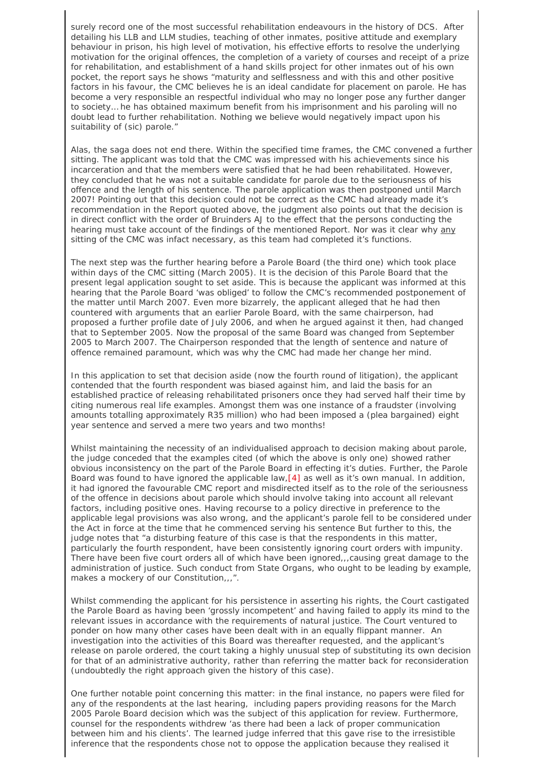surely record one of the most successful rehabilitation endeavours in the history of DCS. After detailing his LLB and LLM studies, teaching of other inmates, positive attitude and exemplary behaviour in prison, his high level of motivation, his effective efforts to resolve the underlying motivation for the original offences, the completion of a variety of courses and receipt of a prize for rehabilitation, and establishment of a hand skills project for other inmates out of his own pocket, the report says he shows "maturity and selflessness and with this and other positive factors in his favour, the CMC believes he is an ideal candidate for placement on parole. He has become a very responsible an respectful individual who may no longer pose any further danger to society… he has obtained maximum benefit from his imprisonment and his paroling will no doubt lead to further rehabilitation. Nothing we believe would negatively impact upon his suitability of (sic) parole."

Alas, the saga does not end there. Within the specified time frames, the CMC convened a further sitting. The applicant was told that the CMC was impressed with his achievements since his incarceration and that the members were satisfied that he had been rehabilitated. However, they concluded that he was not a suitable candidate for parole due to the seriousness of his offence and the length of his sentence. The parole application was then postponed until March 2007! Pointing out that this decision could not be correct as the CMC had already made it's recommendation in the Report quoted above, the judgment also points out that the decision is in direct conflict with the order of Bruinders AJ to the effect that the persons conducting the hearing must take account of the findings of the mentioned Report. Nor was it clear why any sitting of the CMC was infact necessary, as this team had completed it's functions.

The next step was the further hearing before a Parole Board (the third one) which took place within days of the CMC sitting (March 2005). It is the decision of this Parole Board that the present legal application sought to set aside. This is because the applicant was informed at this hearing that the Parole Board 'was obliged' to follow the CMC's recommended postponement of the matter until March 2007. Even more bizarrely, the applicant alleged that he had then countered with arguments that an earlier Parole Board, with the same chairperson, had proposed a further profile date of July 2006, and when he argued against it then, had changed that to September 2005. Now the proposal of the same Board was changed from September 2005 to March 2007. The Chairperson responded that the length of sentence and nature of offence remained paramount, which was why the CMC had made her change her mind.

In this application to set that decision aside (now the fourth round of litigation), the applicant contended that the fourth respondent was biased against him, and laid the basis for an established practice of releasing rehabilitated prisoners once they had served half their time by citing numerous real life examples. Amongst them was one instance of a fraudster (involving amounts totalling approximately R35 million) who had been imposed a (plea bargained) eight year sentence and served a mere two years and two months!

Whilst maintaining the necessity of an individualised approach to decision making about parole, the judge conceded that the examples cited (of which the above is only one) showed rather obvious inconsistency on the part of the Parole Board in effecting it's duties. Further, the Parole Board was found to have ignored the applicable law,  $[4]$  as well as it's own manual. In addition, it had ignored the favourable CMC report and misdirected itself as to the role of the seriousness of the offence in decisions about parole which should involve taking into account all relevant factors, including positive ones. Having recourse to a policy directive in preference to the applicable legal provisions was also wrong, and the applicant's parole fell to be considered under the Act in force at the time that he commenced serving his sentence But further to this, the judge notes that "a disturbing feature of this case is that the respondents in this matter, particularly the fourth respondent, have been consistently ignoring court orders with impunity. There have been five court orders all of which have been ignored,,,causing great damage to the administration of justice. Such conduct from State Organs, who ought to be leading by example, makes a mockery of our Constitution,,,".

Whilst commending the applicant for his persistence in asserting his rights, the Court castigated the Parole Board as having been 'grossly incompetent' and having failed to apply its mind to the relevant issues in accordance with the requirements of natural justice. The Court ventured to ponder on how many other cases have been dealt with in an equally flippant manner. An investigation into the activities of this Board was thereafter requested, and the applicant's release on parole ordered, the court taking a highly unusual step of substituting its own decision for that of an administrative authority, rather than referring the matter back for reconsideration (undoubtedly the right approach given the history of this case).

One further notable point concerning this matter: in the final instance, no papers were filed for any of the respondents at the last hearing, including papers providing reasons for the March 2005 Parole Board decision which was the subject of this application for review. Furthermore, counsel for the respondents withdrew 'as there had been a lack of proper communication between him and his clients'. The learned judge inferred that this gave rise to the irresistible inference that the respondents chose not to oppose the application because they realised it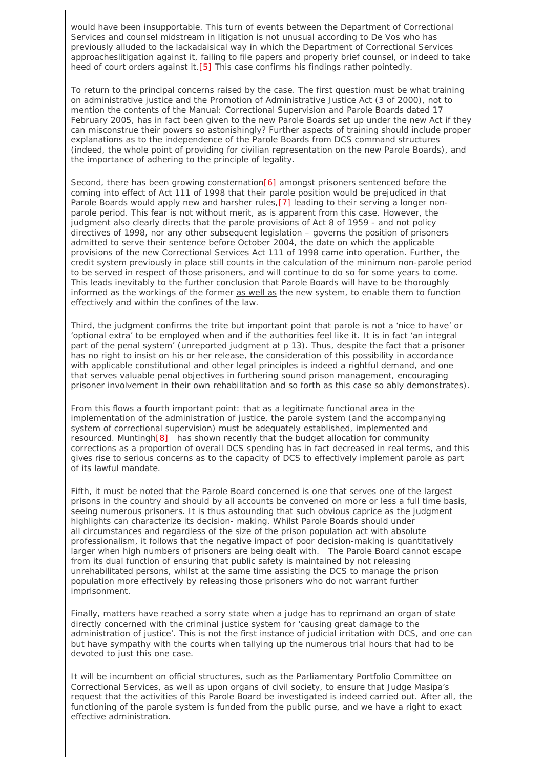would have been insupportable. This turn of events between the Department of Correctional Services and counsel midstream in litigation is not unusual according to De Vos who has previously alluded to the lackadaisical way in which the Department of Correctional Services approacheslitigation against it, failing to file papers and properly brief counsel, or indeed to take heed of court orders against it.[5] This case confirms his findings rather pointedly.

To return to the principal concerns raised by the case. The first question must be what training on administrative justice and the Promotion of Administrative Justice Act (3 of 2000), not to mention the contents of the Manual: Correctional Supervision and Parole Boards dated 17 February 2005, has in fact been given to the new Parole Boards set up under the new Act if they can misconstrue their powers so astonishingly? Further aspects of training should include proper explanations as to the independence of the Parole Boards from DCS command structures (indeed, the whole point of providing for civilian representation on the new Parole Boards), and the importance of adhering to the principle of legality.

Second, there has been growing consternation[6] amongst prisoners sentenced before the coming into effect of Act 111 of 1998 that their parole position would be prejudiced in that Parole Boards would apply new and harsher rules,[7] leading to their serving a longer nonparole period. This fear is not without merit, as is apparent from this case. However, the judgment also clearly directs that the parole provisions of Act 8 of 1959 - and not policy directives of 1998, nor any other subsequent legislation – governs the position of prisoners admitted to serve their sentence before October 2004, the date on which the applicable provisions of the new Correctional Services Act 111 of 1998 came into operation. Further, the credit system previously in place still counts in the calculation of the minimum non-parole period to be served in respect of those prisoners, and will continue to do so for some years to come. This leads inevitably to the further conclusion that Parole Boards will have to be thoroughly informed as the workings of the former as well as the new system, to enable them to function effectively and within the confines of the law.

Third, the judgment confirms the trite but important point that parole is not a 'nice to have' or 'optional extra' to be employed when and if the authorities feel like it. It is in fact 'an integral part of the penal system' (unreported judgment at p 13). Thus, despite the fact that a prisoner has no right to insist on his or her release, the consideration of this possibility in accordance with applicable constitutional and other legal principles is indeed a rightful demand, and one that serves valuable penal objectives in furthering sound prison management, encouraging prisoner involvement in their own rehabilitation and so forth as this case so ably demonstrates).

From this flows a fourth important point: that as a legitimate functional area in the implementation of the administration of justice, the parole system (and the accompanying system of correctional supervision) must be adequately established, implemented and resourced. Muntingh[8] has shown recently that the budget allocation for community corrections as a proportion of overall DCS spending has in fact decreased in real terms, and this gives rise to serious concerns as to the capacity of DCS to effectively implement parole as part of its lawful mandate.

Fifth, it must be noted that the Parole Board concerned is one that serves one of the largest prisons in the country and should by all accounts be convened on more or less a full time basis, seeing numerous prisoners. It is thus astounding that such obvious caprice as the judgment highlights can characterize its decision- making. Whilst Parole Boards should under all circumstances and regardless of the size of the prison population act with absolute professionalism, it follows that the negative impact of poor decision-making is quantitatively larger when high numbers of prisoners are being dealt with. The Parole Board cannot escape from its dual function of ensuring that public safety is maintained by not releasing unrehabilitated persons, whilst at the same time assisting the DCS to manage the prison population more effectively by releasing those prisoners who do not warrant further imprisonment.

Finally, matters have reached a sorry state when a judge has to reprimand an organ of state directly concerned with the criminal justice system for 'causing great damage to the administration of justice'. This is not the first instance of judicial irritation with DCS, and one can but have sympathy with the courts when tallying up the numerous trial hours that had to be devoted to just this one case.

It will be incumbent on official structures, such as the Parliamentary Portfolio Committee on Correctional Services, as well as upon organs of civil society, to ensure that Judge Masipa's request that the activities of this Parole Board be investigated is indeed carried out. After all, the functioning of the parole system is funded from the public purse, and we have a right to exact effective administration.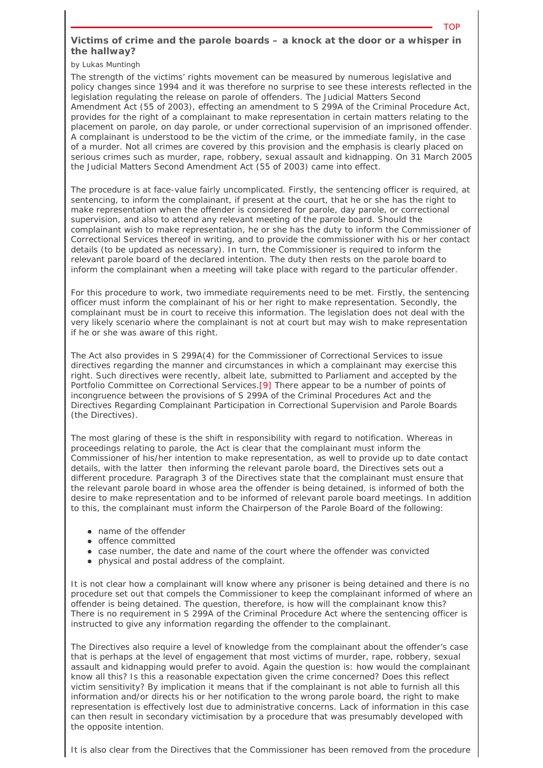## **Victims of crime and the parole boards – a knock at the door or a whisper in the hallway?**

TOP

by Lukas Muntingh

The strength of the victims' rights movement can be measured by numerous legislative and policy changes since 1994 and it was therefore no surprise to see these interests reflected in the legislation regulating the release on parole of offenders. The Judicial Matters Second Amendment Act (55 of 2003), effecting an amendment to S 299A of the Criminal Procedure Act, provides for the right of a complainant to make representation in certain matters relating to the placement on parole, on day parole, or under correctional supervision of an imprisoned offender. A complainant is understood to be the victim of the crime, or the immediate family, in the case of a murder. Not all crimes are covered by this provision and the emphasis is clearly placed on serious crimes such as murder, rape, robbery, sexual assault and kidnapping. On 31 March 2005 the Judicial Matters Second Amendment Act (55 of 2003) came into effect.

The procedure is at face-value fairly uncomplicated. Firstly, the sentencing officer is required, at sentencing, to inform the complainant, if present at the court, that he or she has the right to make representation when the offender is considered for parole, day parole, or correctional supervision, and also to attend any relevant meeting of the parole board. Should the complainant wish to make representation, he or she has the duty to inform the Commissioner of Correctional Services thereof in writing, and to provide the commissioner with his or her contact details (to be updated as necessary). In turn, the Commissioner is required to inform the relevant parole board of the declared intention. The duty then rests on the parole board to inform the complainant when a meeting will take place with regard to the particular offender.

For this procedure to work, two immediate requirements need to be met. Firstly, the sentencing officer must inform the complainant of his or her right to make representation. Secondly, the complainant must be in court to receive this information. The legislation does not deal with the very likely scenario where the complainant is not at court but may wish to make representation if he or she was aware of this right.

The Act also provides in S 299A(4) for the Commissioner of Correctional Services to issue directives regarding the manner and circumstances in which a complainant may exercise this right. Such directives were recently, albeit late, submitted to Parliament and accepted by the Portfolio Committee on Correctional Services.[9] There appear to be a number of points of incongruence between the provisions of S 299A of the Criminal Procedures Act and the *Directives Regarding Complainant Participation in Correctional Supervision and Parole Boards* (the Directives).

The most glaring of these is the shift in responsibility with regard to notification. Whereas in proceedings relating to parole, the Act is clear that the complainant must inform the Commissioner of his/her intention to make representation, as well to provide up to date contact details, with the latter then informing the relevant parole board, the Directives sets out a different procedure. Paragraph 3 of the Directives state that the complainant must ensure that the relevant parole board in whose area the offender is being detained, is informed of both the desire to make representation and to be informed of relevant parole board meetings. In addition to this, the complainant must inform the Chairperson of the Parole Board of the following:

- name of the offender
- **•** offence committed
- case number, the date and name of the court where the offender was convicted
- physical and postal address of the complaint.

It is not clear how a complainant will know where any prisoner is being detained and there is no procedure set out that compels the Commissioner to keep the complainant informed of where an offender is being detained. The question, therefore, is how will the complainant know this? There is no requirement in S 299A of the Criminal Procedure Act where the sentencing officer is instructed to give any information regarding the offender to the complainant.

The Directives also require a level of knowledge from the complainant about the offender's case that is perhaps at the level of engagement that most victims of murder, rape, robbery, sexual assault and kidnapping would prefer to avoid. Again the question is: how would the complainant know all this? Is this a reasonable expectation given the crime concerned? Does this reflect victim sensitivity? By implication it means that if the complainant is not able to furnish all this information and/or directs his or her notification to the wrong parole board, the right to make representation is effectively lost due to administrative concerns. Lack of information in this case can then result in secondary victimisation by a procedure that was presumably developed with the opposite intention.

It is also clear from the Directives that the Commissioner has been removed from the procedure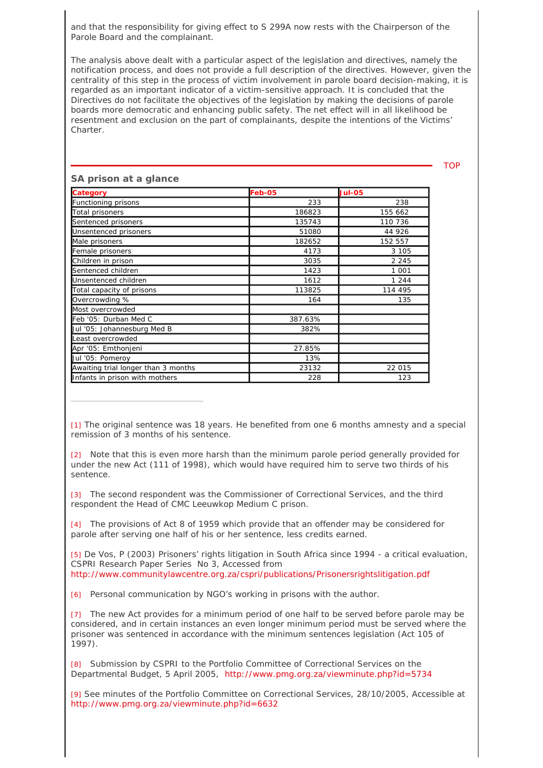and that the responsibility for giving effect to S 299A now rests with the Chairperson of the Parole Board and the complainant.

The analysis above dealt with a particular aspect of the legislation and directives, namely the notification process, and does not provide a full description of the directives. However, given the centrality of this step in the process of victim involvement in parole board decision-making, it is regarded as an important indicator of a victim-sensitive approach. It is concluded that the Directives do not facilitate the objectives of the legislation by making the decisions of parole boards more democratic and enhancing public safety. The net effect will in all likelihood be resentment and exclusion on the part of complainants, despite the intentions of the Victims' Charter.

TOP

| <b>Category</b>                     | Feb-05  | <b>Jul-05</b> |
|-------------------------------------|---------|---------------|
| Functioning prisons                 | 233     | 238           |
| Total prisoners                     | 186823  | 155 662       |
| Sentenced prisoners                 | 135743  | 110 736       |
| Unsentenced prisoners               | 51080   | 44 926        |
| Male prisoners                      | 182652  | 152 557       |
| Female prisoners                    | 4173    | 3 1 0 5       |
| Children in prison                  | 3035    | 2 2 4 5       |
| Sentenced children                  | 1423    | 1 0 0 1       |
| Unsentenced children                | 1612    | 1 2 4 4       |
| Total capacity of prisons           | 113825  | 114 495       |
| Overcrowding %                      | 164     | 135           |
| Most overcrowded                    |         |               |
| Feb '05: Durban Med C               | 387.63% |               |
| Uul '05: Johannesburg Med B         | 382%    |               |
| Least overcrowded                   |         |               |
| Apr '05: Emthonjeni                 | 27.85%  |               |
| Jul '05: Pomeroy                    | 13%     |               |
| Awaiting trial longer than 3 months | 23132   | 22 015        |
| Infants in prison with mothers      | 228     | 123           |

## **SA prison at a glance**

[1] The original sentence was 18 years. He benefited from one 6 months amnesty and a special remission of 3 months of his sentence.

[2] Note that this is even more harsh than the minimum parole period generally provided for under the new Act (111 of 1998), which would have required him to serve two thirds of his sentence.

[3] The second respondent was the Commissioner of Correctional Services, and the third respondent the Head of CMC Leeuwkop Medium C prison.

[4] The provisions of Act 8 of 1959 which provide that an offender may be considered for parole after serving one half of his or her sentence, less credits earned.

[5] De Vos, P (2003) Prisoners' rights litigation in South Africa since 1994 - a critical evaluation, CSPRI Research Paper Series No 3, Accessed from http://www.communitylawcentre.org.za/cspri/publications/Prisonersrightslitigation.pdf

[6] Personal communication by NGO's working in prisons with the author.

[7] The new Act provides for a minimum period of one half to be served before parole may be considered, and in certain instances an even longer minimum period must be served where the prisoner was sentenced in accordance with the minimum sentences legislation (Act 105 of 1997).

[8] Submission by CSPRI to the Portfolio Committee of Correctional Services on the Departmental Budget, 5 April 2005, http://www.pmg.org.za/viewminute.php?id=5734

[9] See minutes of the Portfolio Committee on Correctional Services, 28/10/2005, Accessible at http://www.pmg.org.za/viewminute.php?id=6632